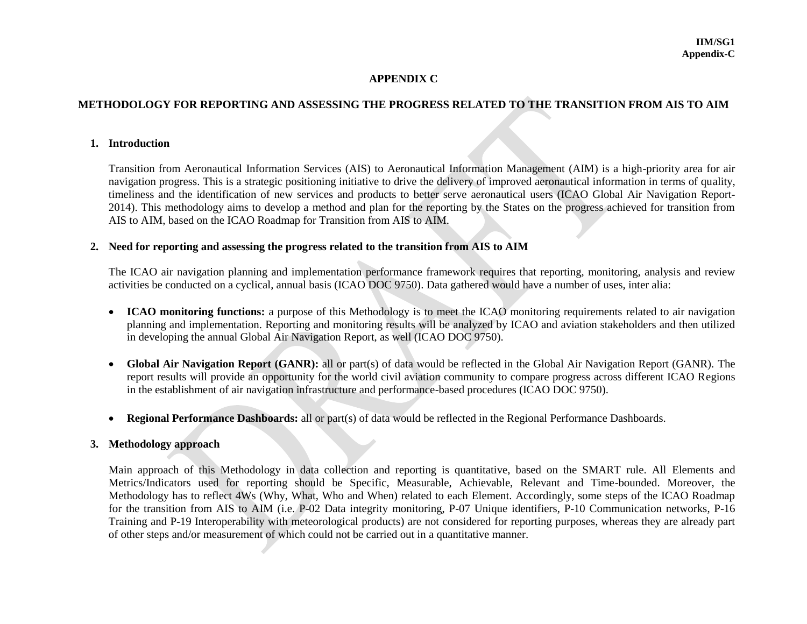#### **APPENDIX C**

### **METHODOLOGY FOR REPORTING AND ASSESSING THE PROGRESS RELATED TO THE TRANSITION FROM AIS TO AIM**

#### **1. Introduction**

Transition from Aeronautical Information Services (AIS) to Aeronautical Information Management (AIM) is a high-priority area for air navigation progress. This is a strategic positioning initiative to drive the delivery of improved aeronautical information in terms of quality, timeliness and the identification of new services and products to better serve aeronautical users (ICAO Global Air Navigation Report-2014). This methodology aims to develop a method and plan for the reporting by the States on the progress achieved for transition from AIS to AIM, based on the ICAO Roadmap for Transition from AIS to AIM.

#### **2. Need for reporting and assessing the progress related to the transition from AIS to AIM**

The ICAO air navigation planning and implementation performance framework requires that reporting, monitoring, analysis and review activities be conducted on a cyclical, annual basis (ICAO DOC 9750). Data gathered would have a number of uses, inter alia:

- **ICAO monitoring functions:** a purpose of this Methodology is to meet the ICAO monitoring requirements related to air navigation planning and implementation. Reporting and monitoring results will be analyzed by ICAO and aviation stakeholders and then utilized in developing the annual Global Air Navigation Report, as well (ICAO DOC 9750).
- **Global Air Navigation Report (GANR):** all or part(s) of data would be reflected in the Global Air Navigation Report (GANR). The report results will provide an opportunity for the world civil aviation community to compare progress across different ICAO Regions in the establishment of air navigation infrastructure and performance-based procedures (ICAO DOC 9750).
- **Regional Performance Dashboards:** all or part(s) of data would be reflected in the Regional Performance Dashboards.

#### **3. Methodology approach**

Main approach of this Methodology in data collection and reporting is quantitative, based on the SMART rule. All Elements and Metrics/Indicators used for reporting should be Specific, Measurable, Achievable, Relevant and Time-bounded. Moreover, the Methodology has to reflect 4Ws (Why, What, Who and When) related to each Element. Accordingly, some steps of the ICAO Roadmap for the transition from AIS to AIM (i.e. P-02 Data integrity monitoring, P-07 Unique identifiers, P-10 Communication networks, P-16 Training and P-19 Interoperability with meteorological products) are not considered for reporting purposes, whereas they are already part of other steps and/or measurement of which could not be carried out in a quantitative manner.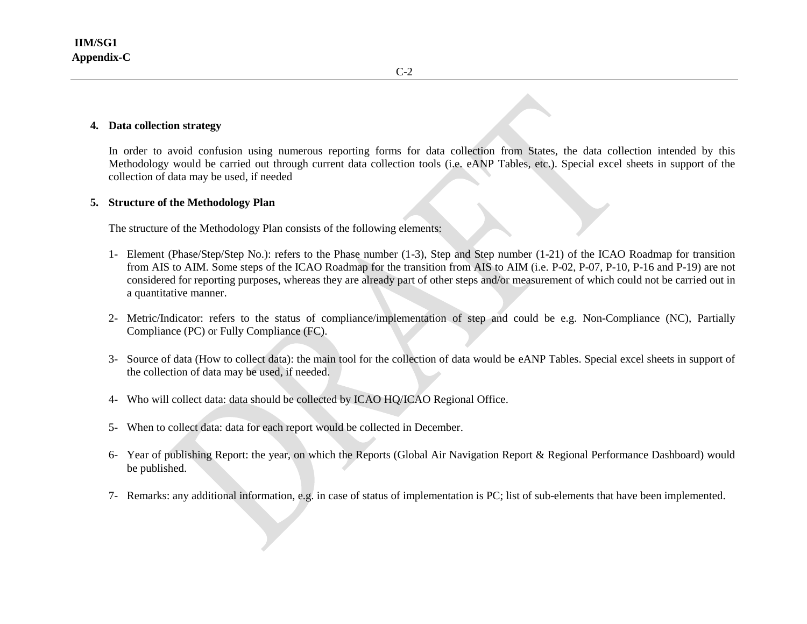#### **4. Data collection strategy**

In order to avoid confusion using numerous reporting forms for data collection from States, the data collection intended by this Methodology would be carried out through current data collection tools (i.e. eANP Tables, etc.). Special excel sheets in support of the collection of data may be used, if needed

#### **5. Structure of the Methodology Plan**

The structure of the Methodology Plan consists of the following elements:

- 1- Element (Phase/Step/Step No.): refers to the Phase number (1-3), Step and Step number (1-21) of the ICAO Roadmap for transition from AIS to AIM. Some steps of the ICAO Roadmap for the transition from AIS to AIM (i.e. P-02, P-07, P-10, P-16 and P-19) are not considered for reporting purposes, whereas they are already part of other steps and/or measurement of which could not be carried out in a quantitative manner.
- 2- Metric/Indicator: refers to the status of compliance/implementation of step and could be e.g. Non-Compliance (NC), Partially Compliance (PC) or Fully Compliance (FC).
- 3- Source of data (How to collect data): the main tool for the collection of data would be eANP Tables. Special excel sheets in support of the collection of data may be used, if needed.
- 4- Who will collect data: data should be collected by ICAO HQ/ICAO Regional Office.
- 5- When to collect data: data for each report would be collected in December.
- 6- Year of publishing Report: the year, on which the Reports (Global Air Navigation Report & Regional Performance Dashboard) would be published.
- 7- Remarks: any additional information, e.g. in case of status of implementation is PC; list of sub-elements that have been implemented.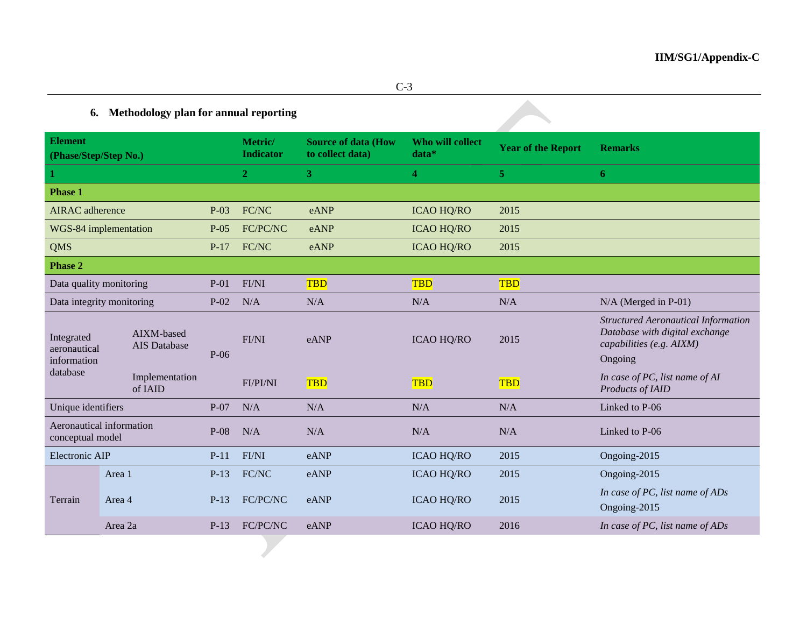# **6. Methodology plan for annual reporting**

| <b>Element</b><br>(Phase/Step/Step No.)               |                  |                                   |                | Metric/<br><b>Indicator</b> | <b>Source of data (How</b><br>to collect data) | <b>Who will collect</b><br>data* | <b>Year of the Report</b> | <b>Remarks</b>                                                                                                      |
|-------------------------------------------------------|------------------|-----------------------------------|----------------|-----------------------------|------------------------------------------------|----------------------------------|---------------------------|---------------------------------------------------------------------------------------------------------------------|
| 1                                                     |                  |                                   | $\overline{2}$ | 3 <sup>2</sup>              | $\overline{\bf{4}}$                            | 5 <sub>1</sub>                   | 6                         |                                                                                                                     |
| <b>Phase 1</b>                                        |                  |                                   |                |                             |                                                |                                  |                           |                                                                                                                     |
| <b>AIRAC</b> adherence                                |                  | $P-03$                            | FC/NC          | eANP                        | 2015<br><b>ICAO HQ/RO</b>                      |                                  |                           |                                                                                                                     |
| WGS-84 implementation                                 |                  | $P-05$                            | FC/PC/NC       | eANP                        | <b>ICAO HQ/RO</b>                              | 2015                             |                           |                                                                                                                     |
| <b>QMS</b>                                            |                  |                                   | $P-17$         | FC/NC                       | eANP                                           | <b>ICAO HQ/RO</b>                | 2015                      |                                                                                                                     |
| Phase 2                                               |                  |                                   |                |                             |                                                |                                  |                           |                                                                                                                     |
| Data quality monitoring                               |                  | $P-01$                            | FI/NI          | <b>TBD</b>                  | <b>TBD</b>                                     | <b>TBD</b>                       |                           |                                                                                                                     |
| Data integrity monitoring                             |                  | $P-02$                            | N/A            | N/A                         | N/A                                            | N/A                              | $N/A$ (Merged in P-01)    |                                                                                                                     |
| Integrated<br>aeronautical<br>information<br>database |                  | AIXM-based<br><b>AIS</b> Database | $P-06$         | FI/NI                       | eANP                                           | <b>ICAO HQ/RO</b>                | 2015                      | <b>Structured Aeronautical Information</b><br>Database with digital exchange<br>capabilities (e.g. AIXM)<br>Ongoing |
|                                                       |                  | Implementation<br>of IAID         |                | <b>FI/PI/NI</b>             | <b>TBD</b>                                     | <b>TBD</b>                       | <b>TBD</b>                | In case of PC, list name of AI<br>Products of IAID                                                                  |
| Unique identifiers                                    |                  |                                   | $P-07$         | N/A                         | N/A                                            | N/A                              | N/A                       | Linked to P-06                                                                                                      |
| Aeronautical information<br>conceptual model          |                  | $P-08$                            | N/A            | N/A                         | N/A                                            | N/A                              | Linked to P-06            |                                                                                                                     |
| Electronic AIP                                        |                  | $P-11$                            | FI/NI          | eANP                        | <b>ICAO HQ/RO</b>                              | 2015                             | Ongoing-2015              |                                                                                                                     |
|                                                       | Area 1<br>Area 4 |                                   | $P-13$         | FC/NC                       | eANP                                           | <b>ICAO HQ/RO</b>                | 2015                      | Ongoing-2015                                                                                                        |
| Terrain                                               |                  |                                   | $P-13$         | FC/PC/NC                    | eANP                                           | <b>ICAO HQ/RO</b>                | 2015                      | In case of PC, list name of ADs<br>Ongoing-2015                                                                     |
|                                                       | Area 2a          |                                   | $P-13$         | FC/PC/NC                    | eANP                                           | <b>ICAO HQ/RO</b>                | 2016                      | In case of PC, list name of ADs                                                                                     |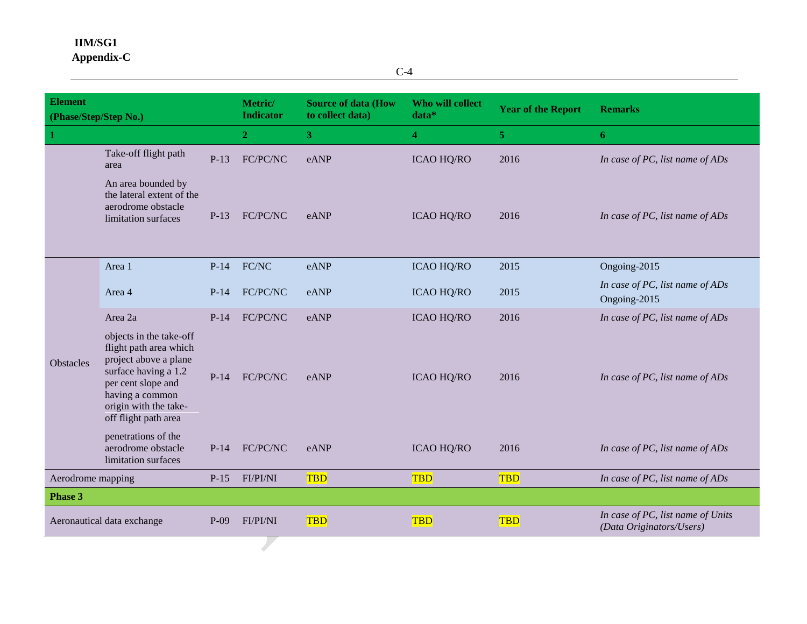## **IIM/SG1 Appendix-C**

C-4

| <b>Element</b><br>(Phase/Step/Step No.) |                                                                                                                                                                                              |                            | Metric/<br><b>Indicator</b> | <b>Source of data (How</b><br>to collect data) | Who will collect<br>data* | <b>Year of the Report</b>                                     | <b>Remarks</b>                                  |
|-----------------------------------------|----------------------------------------------------------------------------------------------------------------------------------------------------------------------------------------------|----------------------------|-----------------------------|------------------------------------------------|---------------------------|---------------------------------------------------------------|-------------------------------------------------|
|                                         |                                                                                                                                                                                              |                            | 2 <sub>1</sub>              | 3 <sup>1</sup>                                 | $\overline{4}$            | 5 <sup>1</sup>                                                | 6                                               |
|                                         | Take-off flight path<br>area                                                                                                                                                                 | $P-13$                     | FC/PC/NC                    | eANP                                           | <b>ICAO HQ/RO</b>         | 2016                                                          | In case of PC, list name of ADs                 |
|                                         | An area bounded by<br>the lateral extent of the<br>aerodrome obstacle<br>limitation surfaces                                                                                                 | $P-13$                     | FC/PC/NC                    | eANP                                           | <b>ICAO HQ/RO</b>         | 2016                                                          | In case of PC, list name of ADs                 |
|                                         | Area 1                                                                                                                                                                                       | $P-14$                     | FC/NC                       | eANP                                           | <b>ICAO HQ/RO</b>         | 2015                                                          | Ongoing-2015                                    |
| Obstacles                               | Area 4                                                                                                                                                                                       | FC/PC/NC<br>eANP<br>$P-14$ |                             |                                                | <b>ICAO HQ/RO</b>         | 2015                                                          | In case of PC, list name of ADs<br>Ongoing-2015 |
|                                         | Area 2a                                                                                                                                                                                      | $P-14$                     | FC/PC/NC                    | eANP                                           | <b>ICAO HQ/RO</b>         | 2016                                                          | In case of PC, list name of ADs                 |
|                                         | objects in the take-off<br>flight path area which<br>project above a plane<br>surface having a 1.2<br>per cent slope and<br>having a common<br>origin with the take-<br>off flight path area | $P-14$                     | FC/PC/NC                    | eANP                                           | <b>ICAO HQ/RO</b>         | 2016                                                          | In case of PC, list name of ADs                 |
|                                         | penetrations of the<br>aerodrome obstacle<br>limitation surfaces                                                                                                                             | $P-14$                     | FC/PC/NC                    | eANP                                           | <b>ICAO HQ/RO</b>         | 2016                                                          | In case of PC, list name of ADs                 |
| Aerodrome mapping<br>$P-15$             |                                                                                                                                                                                              | <b>FI/PI/NI</b>            | <b>TBD</b>                  | <b>TBD</b>                                     | <b>TBD</b>                | In case of PC, list name of ADs                               |                                                 |
| Phase 3                                 |                                                                                                                                                                                              |                            |                             |                                                |                           |                                                               |                                                 |
| Aeronautical data exchange<br>$P-09$    |                                                                                                                                                                                              | <b>FI/PI/NI</b>            | <b>TBD</b>                  | <b>TBD</b>                                     | <b>TBD</b>                | In case of PC, list name of Units<br>(Data Originators/Users) |                                                 |
|                                         |                                                                                                                                                                                              |                            |                             |                                                |                           |                                                               |                                                 |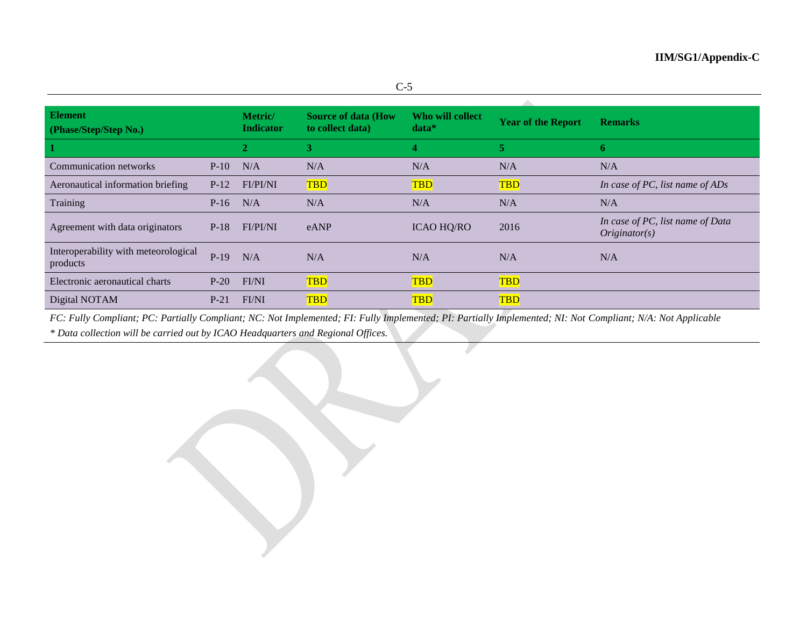| <b>Element</b><br>(Phase/Step/Step No.)          |        | Metric/<br><b>Indicator</b> | <b>Source of data (How</b><br>to collect data) | Who will collect<br>$data*$ | <b>Year of the Report</b> | <b>Remarks</b>                                    |
|--------------------------------------------------|--------|-----------------------------|------------------------------------------------|-----------------------------|---------------------------|---------------------------------------------------|
|                                                  |        | 2                           | 3                                              | 4                           | 5                         | -6                                                |
| Communication networks                           | $P-10$ | N/A                         | N/A                                            | N/A                         | N/A                       | N/A                                               |
| Aeronautical information briefing                | $P-12$ | <b>FI/PI/NI</b>             | <b>TBD</b>                                     | <b>TBD</b>                  | <b>TBD</b>                | In case of PC, list name of ADs                   |
| Training                                         | $P-16$ | N/A                         | N/A                                            | N/A                         | N/A                       | N/A                                               |
| Agreement with data originators                  | $P-18$ | FI/PI/NI                    | eANP                                           | <b>ICAO HQ/RO</b>           | 2016                      | In case of PC, list name of Data<br>Originator(s) |
| Interoperability with meteorological<br>products | $P-19$ | N/A                         | N/A                                            | N/A                         | N/A                       | N/A                                               |
| Electronic aeronautical charts                   | $P-20$ | FI/NI                       | <b>TBD</b>                                     | <b>TBD</b>                  | <b>TBD</b>                |                                                   |
| Digital NOTAM                                    | $P-21$ | FI/NI                       | <b>TBD</b>                                     | <b>TBD</b>                  | <b>TBD</b>                |                                                   |

*FC: Fully Compliant; PC: Partially Compliant; NC: Not Implemented; FI: Fully Implemented; PI: Partially Implemented; NI: Not Compliant; N/A: Not Applicable*

*\* Data collection will be carried out by ICAO Headquarters and Regional Offices.*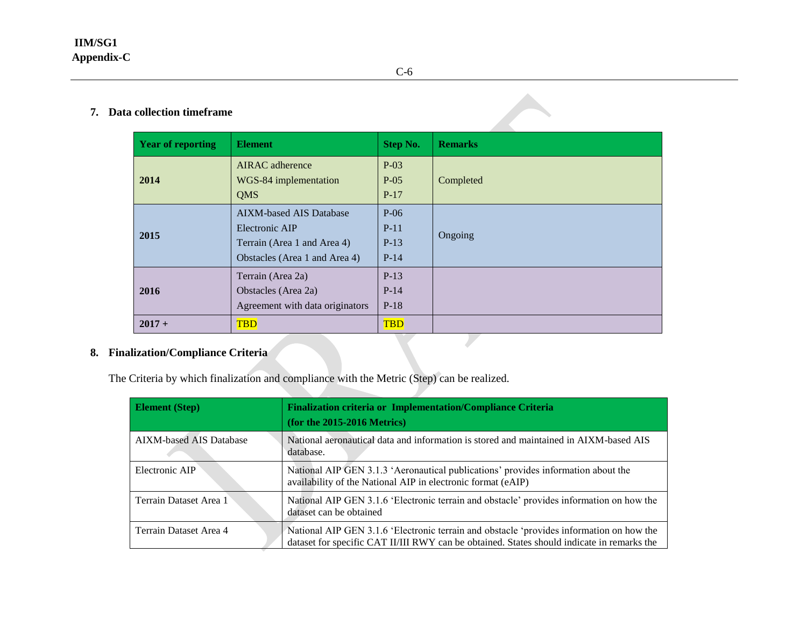| <b>Year of reporting</b> | <b>Element</b>                                                                                                   | <b>Step No.</b>                      | <b>Remarks</b> |
|--------------------------|------------------------------------------------------------------------------------------------------------------|--------------------------------------|----------------|
| 2014                     | <b>AIRAC</b> adherence<br>WGS-84 implementation<br><b>QMS</b>                                                    | $P-03$<br>$P-05$<br>$P-17$           | Completed      |
| 2015                     | <b>AIXM-based AIS Database</b><br>Electronic AIP<br>Terrain (Area 1 and Area 4)<br>Obstacles (Area 1 and Area 4) | $P-06$<br>$P-11$<br>$P-13$<br>$P-14$ | Ongoing        |
| 2016                     | Terrain (Area 2a)<br>Obstacles (Area 2a)<br>Agreement with data originators                                      | $P-13$<br>$P-14$<br>$P-18$           |                |
| $2017 +$                 | <b>TBD</b>                                                                                                       | <b>TBD</b>                           |                |

### **8. Finalization/Compliance Criteria**

The Criteria by which finalization and compliance with the Metric (Step) can be realized.

| <b>Element</b> (Step)          | Finalization criteria or Implementation/Compliance Criteria<br>$($ for the 2015-2016 Metrics $)$                                                                                       |
|--------------------------------|----------------------------------------------------------------------------------------------------------------------------------------------------------------------------------------|
| <b>AIXM-based AIS Database</b> | National aeronautical data and information is stored and maintained in AIXM-based AIS<br>database.                                                                                     |
| Electronic AIP                 | National AIP GEN 3.1.3 'Aeronautical publications' provides information about the<br>availability of the National AIP in electronic format (eAIP)                                      |
| Terrain Dataset Area 1         | National AIP GEN 3.1.6 'Electronic terrain and obstacle' provides information on how the<br>dataset can be obtained                                                                    |
| Terrain Dataset Area 4         | National AIP GEN 3.1.6 'Electronic terrain and obstacle 'provides information on how the<br>dataset for specific CAT II/III RWY can be obtained. States should indicate in remarks the |